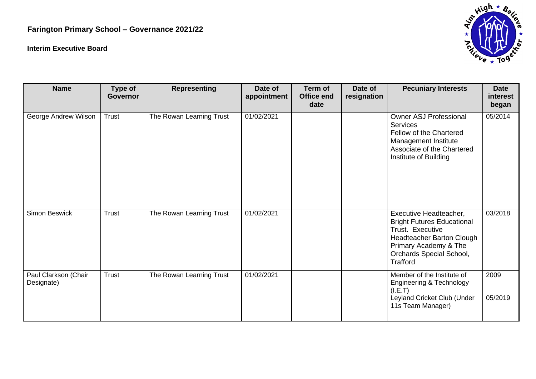## **Farington Primary School – Governance 2021/22**

## **Interim Executive Board**



| <b>Name</b>                        | Type of<br><b>Governor</b> | <b>Representing</b>      | Date of<br>appointment | Term of<br>Office end<br>date | Date of<br>resignation | <b>Pecuniary Interests</b>                                                                                                                                                           | <b>Date</b><br>interest<br>began |
|------------------------------------|----------------------------|--------------------------|------------------------|-------------------------------|------------------------|--------------------------------------------------------------------------------------------------------------------------------------------------------------------------------------|----------------------------------|
| George Andrew Wilson               | Trust                      | The Rowan Learning Trust | 01/02/2021             |                               |                        | <b>Owner ASJ Professional</b><br><b>Services</b><br>Fellow of the Chartered<br>Management Institute<br>Associate of the Chartered<br>Institute of Building                           | 05/2014                          |
| <b>Simon Beswick</b>               | <b>Trust</b>               | The Rowan Learning Trust | 01/02/2021             |                               |                        | Executive Headteacher,<br><b>Bright Futures Educational</b><br>Trust. Executive<br>Headteacher Barton Clough<br>Primary Academy & The<br>Orchards Special School,<br><b>Trafford</b> | 03/2018                          |
| Paul Clarkson (Chair<br>Designate) | <b>Trust</b>               | The Rowan Learning Trust | 01/02/2021             |                               |                        | Member of the Institute of<br><b>Engineering &amp; Technology</b><br>(I.E.T)<br>Leyland Cricket Club (Under<br>11s Team Manager)                                                     | 2009<br>05/2019                  |